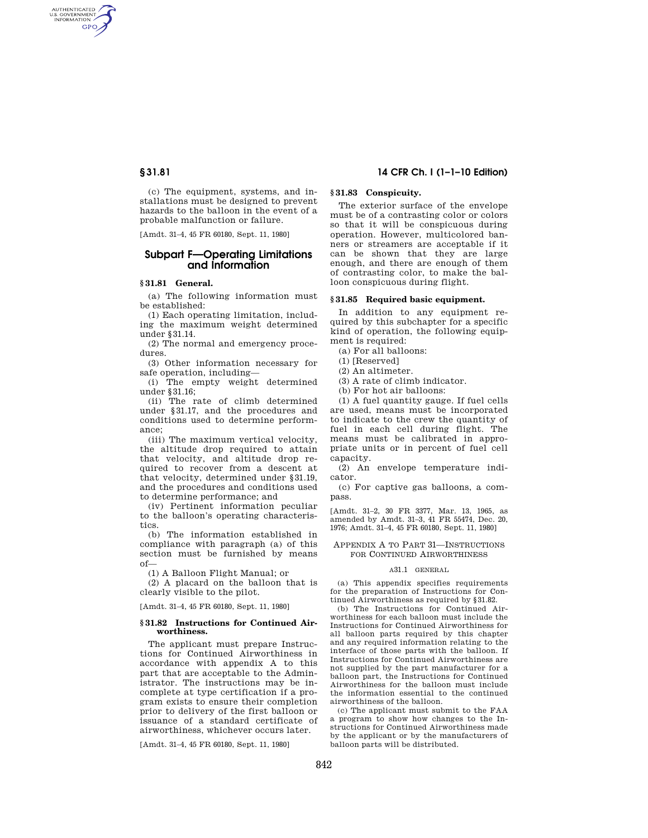AUTHENTICATED<br>U.S. GOVERNMENT<br>INFORMATION **GPO** 

> (c) The equipment, systems, and installations must be designed to prevent hazards to the balloon in the event of a probable malfunction or failure.

[Amdt. 31-4, 45 FR 60180, Sept. 11, 1980]

# **Subpart F—Operating Limitations and Information**

## **§ 31.81 General.**

(a) The following information must be established:

(1) Each operating limitation, including the maximum weight determined under §31.14.

(2) The normal and emergency procedures.

(3) Other information necessary for safe operation, including—

(i) The empty weight determined under §31.16;

(ii) The rate of climb determined under §31.17, and the procedures and conditions used to determine performance;

(iii) The maximum vertical velocity, the altitude drop required to attain that velocity, and altitude drop required to recover from a descent at that velocity, determined under §31.19, and the procedures and conditions used to determine performance; and

(iv) Pertinent information peculiar to the balloon's operating characteristics.

(b) The information established in compliance with paragraph (a) of this section must be furnished by means of—

(1) A Balloon Flight Manual; or

(2) A placard on the balloon that is clearly visible to the pilot.

[Amdt. 31–4, 45 FR 60180, Sept. 11, 1980]

#### **§ 31.82 Instructions for Continued Airworthiness.**

The applicant must prepare Instructions for Continued Airworthiness in accordance with appendix A to this part that are acceptable to the Administrator. The instructions may be incomplete at type certification if a program exists to ensure their completion prior to delivery of the first balloon or issuance of a standard certificate of airworthiness, whichever occurs later.

[Amdt. 31–4, 45 FR 60180, Sept. 11, 1980]

# **§ 31.81 14 CFR Ch. I (1–1–10 Edition)**

# **§ 31.83 Conspicuity.**

The exterior surface of the envelope must be of a contrasting color or colors so that it will be conspicuous during operation. However, multicolored banners or streamers are acceptable if it can be shown that they are large enough, and there are enough of them of contrasting color, to make the balloon conspicuous during flight.

## **§ 31.85 Required basic equipment.**

In addition to any equipment required by this subchapter for a specific kind of operation, the following equipment is required:

(a) For all balloons:

(1) [Reserved]

(2) An altimeter.

(3) A rate of climb indicator.

(b) For hot air balloons:

(1) A fuel quantity gauge. If fuel cells are used, means must be incorporated to indicate to the crew the quantity of fuel in each cell during flight. The means must be calibrated in appropriate units or in percent of fuel cell capacity.

(2) An envelope temperature indicator.

(c) For captive gas balloons, a compass.

[Amdt. 31–2, 30 FR 3377, Mar. 13, 1965, as amended by Amdt. 31–3, 41 FR 55474, Dec. 20, 1976; Amdt. 31–4, 45 FR 60180, Sept. 11, 1980]

### APPENDIX A TO PART 31—INSTRUCTIONS FOR CONTINUED AIRWORTHINESS

## A31.1 GENERAL

(a) This appendix specifies requirements for the preparation of Instructions for Continued Airworthiness as required by §31.82.

(b) The Instructions for Continued Airworthiness for each balloon must include the Instructions for Continued Airworthiness for all balloon parts required by this chapter and any required information relating to the interface of those parts with the balloon. If Instructions for Continued Airworthiness are not supplied by the part manufacturer for a balloon part, the Instructions for Continued Airworthiness for the balloon must include the information essential to the continued airworthiness of the balloon.

(c) The applicant must submit to the FAA a program to show how changes to the Instructions for Continued Airworthiness made by the applicant or by the manufacturers of balloon parts will be distributed.